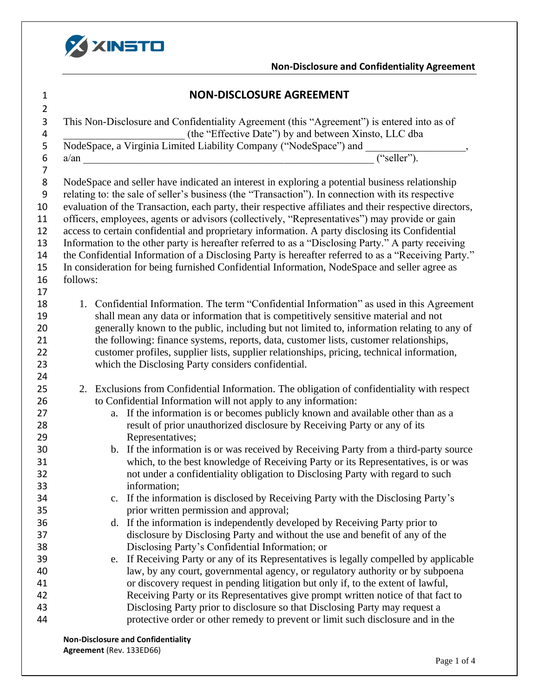

## **Non-Disclosure and Confidentiality Agreement**

| <b>NON-DISCLOSURE AGREEMENT</b> |
|---------------------------------|
|                                 |

| $\overline{2}$   |                                                                                                                                                                    |
|------------------|--------------------------------------------------------------------------------------------------------------------------------------------------------------------|
| $\mathsf 3$      | This Non-Disclosure and Confidentiality Agreement (this "Agreement") is entered into as of                                                                         |
| 4                | (the "Effective Date") by and between Xinsto, LLC dba                                                                                                              |
| 5                | NodeSpace, a Virginia Limited Liability Company ("NodeSpace") and __                                                                                               |
| $\boldsymbol{6}$ | $\overline{``selfer''}.$<br>$a/\text{an}$                                                                                                                          |
| 7                |                                                                                                                                                                    |
| 8                | NodeSpace and seller have indicated an interest in exploring a potential business relationship                                                                     |
| 9                | relating to: the sale of seller's business (the "Transaction"). In connection with its respective                                                                  |
| 10               | evaluation of the Transaction, each party, their respective affiliates and their respective directors,                                                             |
| 11               | officers, employees, agents or advisors (collectively, "Representatives") may provide or gain                                                                      |
| 12               | access to certain confidential and proprietary information. A party disclosing its Confidential                                                                    |
| 13               | Information to the other party is hereafter referred to as a "Disclosing Party." A party receiving                                                                 |
| 14               | the Confidential Information of a Disclosing Party is hereafter referred to as a "Receiving Party."                                                                |
| 15               | In consideration for being furnished Confidential Information, NodeSpace and seller agree as                                                                       |
| 16               | follows:                                                                                                                                                           |
| 17               |                                                                                                                                                                    |
| 18               | 1. Confidential Information. The term "Confidential Information" as used in this Agreement                                                                         |
| 19               | shall mean any data or information that is competitively sensitive material and not                                                                                |
| 20               | generally known to the public, including but not limited to, information relating to any of                                                                        |
| 21               | the following: finance systems, reports, data, customer lists, customer relationships,                                                                             |
| 22               | customer profiles, supplier lists, supplier relationships, pricing, technical information,                                                                         |
| 23               | which the Disclosing Party considers confidential.                                                                                                                 |
| 24               |                                                                                                                                                                    |
| 25               | 2. Exclusions from Confidential Information. The obligation of confidentiality with respect                                                                        |
| 26               | to Confidential Information will not apply to any information:                                                                                                     |
| 27               | a. If the information is or becomes publicly known and available other than as a                                                                                   |
| 28               | result of prior unauthorized disclosure by Receiving Party or any of its                                                                                           |
| 29               | Representatives;                                                                                                                                                   |
| 30               | b. If the information is or was received by Receiving Party from a third-party source                                                                              |
| 31               | which, to the best knowledge of Receiving Party or its Representatives, is or was                                                                                  |
| 32               | not under a confidentiality obligation to Disclosing Party with regard to such                                                                                     |
| 33               | information;                                                                                                                                                       |
| 34               | If the information is disclosed by Receiving Party with the Disclosing Party's                                                                                     |
| 35               | prior written permission and approval;                                                                                                                             |
| 36               | d. If the information is independently developed by Receiving Party prior to                                                                                       |
| 37               | disclosure by Disclosing Party and without the use and benefit of any of the                                                                                       |
| 38               | Disclosing Party's Confidential Information; or                                                                                                                    |
| 39<br>40         | e. If Receiving Party or any of its Representatives is legally compelled by applicable                                                                             |
| 41               | law, by any court, governmental agency, or regulatory authority or by subpoena<br>or discovery request in pending litigation but only if, to the extent of lawful, |
| 42               | Receiving Party or its Representatives give prompt written notice of that fact to                                                                                  |
| 43               | Disclosing Party prior to disclosure so that Disclosing Party may request a                                                                                        |
| 44               | protective order or other remedy to prevent or limit such disclosure and in the                                                                                    |
|                  |                                                                                                                                                                    |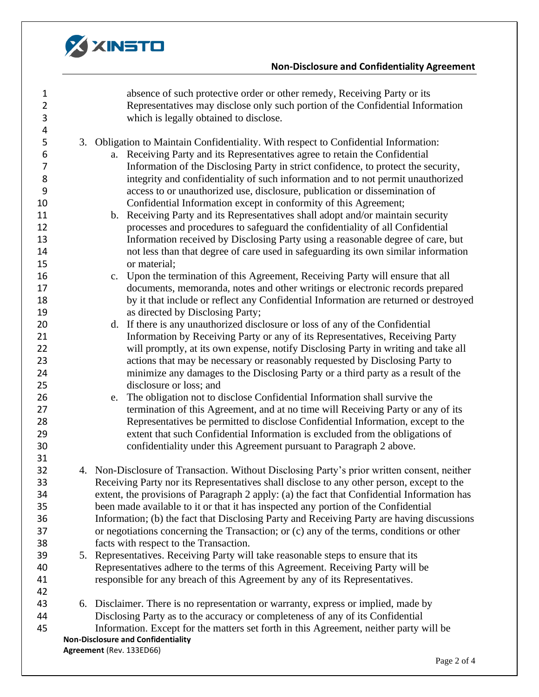

## **Non-Disclosure and Confidentiality Agreement**

| $\mathbf{1}$   | absence of such protective order or other remedy, Receiving Party or its                    |
|----------------|---------------------------------------------------------------------------------------------|
| $\overline{2}$ | Representatives may disclose only such portion of the Confidential Information              |
| $\mathbf{3}$   | which is legally obtained to disclose.                                                      |
| 4              |                                                                                             |
| 5              | 3. Obligation to Maintain Confidentiality. With respect to Confidential Information:        |
| 6              | a. Receiving Party and its Representatives agree to retain the Confidential                 |
| 7              | Information of the Disclosing Party in strict confidence, to protect the security,          |
| 8              | integrity and confidentiality of such information and to not permit unauthorized            |
| 9              | access to or unauthorized use, disclosure, publication or dissemination of                  |
| 10             | Confidential Information except in conformity of this Agreement;                            |
| 11             | b. Receiving Party and its Representatives shall adopt and/or maintain security             |
| 12             | processes and procedures to safeguard the confidentiality of all Confidential               |
| 13             | Information received by Disclosing Party using a reasonable degree of care, but             |
| 14             | not less than that degree of care used in safeguarding its own similar information          |
| 15             | or material;                                                                                |
| 16             | c. Upon the termination of this Agreement, Receiving Party will ensure that all             |
| 17             | documents, memoranda, notes and other writings or electronic records prepared               |
| 18             | by it that include or reflect any Confidential Information are returned or destroyed        |
| 19             | as directed by Disclosing Party;                                                            |
| 20             | If there is any unauthorized disclosure or loss of any of the Confidential<br>d.            |
| 21             | Information by Receiving Party or any of its Representatives, Receiving Party               |
| 22             | will promptly, at its own expense, notify Disclosing Party in writing and take all          |
| 23             | actions that may be necessary or reasonably requested by Disclosing Party to                |
| 24             | minimize any damages to the Disclosing Party or a third party as a result of the            |
| 25             | disclosure or loss; and                                                                     |
| 26             | The obligation not to disclose Confidential Information shall survive the<br>e.             |
| 27             | termination of this Agreement, and at no time will Receiving Party or any of its            |
| 28             | Representatives be permitted to disclose Confidential Information, except to the            |
| 29             | extent that such Confidential Information is excluded from the obligations of               |
| 30             | confidentiality under this Agreement pursuant to Paragraph 2 above.                         |
| 31             |                                                                                             |
| 32             | 4. Non-Disclosure of Transaction. Without Disclosing Party's prior written consent, neither |
| 33             | Receiving Party nor its Representatives shall disclose to any other person, except to the   |
| 34             | extent, the provisions of Paragraph 2 apply: (a) the fact that Confidential Information has |
| 35             | been made available to it or that it has inspected any portion of the Confidential          |
| 36             | Information; (b) the fact that Disclosing Party and Receiving Party are having discussions  |
| 37             | or negotiations concerning the Transaction; or $(c)$ any of the terms, conditions or other  |
| 38             | facts with respect to the Transaction.                                                      |
| 39             | 5. Representatives. Receiving Party will take reasonable steps to ensure that its           |
| 40             | Representatives adhere to the terms of this Agreement. Receiving Party will be              |
| 41             | responsible for any breach of this Agreement by any of its Representatives.                 |
| 42             |                                                                                             |
| 43             | 6. Disclaimer. There is no representation or warranty, express or implied, made by          |
| 44             | Disclosing Party as to the accuracy or completeness of any of its Confidential              |
| 45             | Information. Except for the matters set forth in this Agreement, neither party will be      |
|                | <b>Non-Disclosure and Confidentiality</b>                                                   |
|                | Agreement (Rev. 133ED66)                                                                    |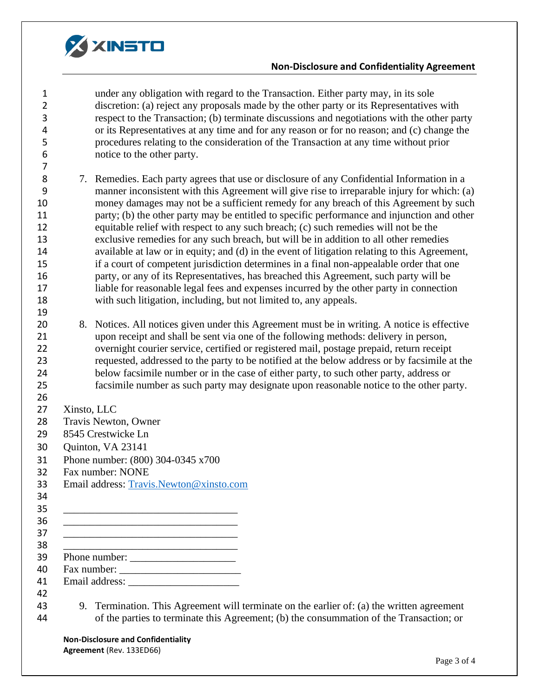

## **Non-Disclosure and Confidentiality Agreement**

| $\mathbf{1}$   |             | under any obligation with regard to the Transaction. Either party may, in its sole                                                                                                 |
|----------------|-------------|------------------------------------------------------------------------------------------------------------------------------------------------------------------------------------|
| $\overline{2}$ |             | discretion: (a) reject any proposals made by the other party or its Representatives with                                                                                           |
| 3              |             | respect to the Transaction; (b) terminate discussions and negotiations with the other party                                                                                        |
| 4              |             | or its Representatives at any time and for any reason or for no reason; and (c) change the                                                                                         |
| 5              |             | procedures relating to the consideration of the Transaction at any time without prior                                                                                              |
| 6              |             | notice to the other party.                                                                                                                                                         |
| $\overline{7}$ |             |                                                                                                                                                                                    |
| 8              |             | 7. Remedies. Each party agrees that use or disclosure of any Confidential Information in a                                                                                         |
| 9              |             | manner inconsistent with this Agreement will give rise to irreparable injury for which: (a)                                                                                        |
| 10             |             | money damages may not be a sufficient remedy for any breach of this Agreement by such                                                                                              |
| 11             |             | party; (b) the other party may be entitled to specific performance and injunction and other                                                                                        |
| 12             |             | equitable relief with respect to any such breach; (c) such remedies will not be the                                                                                                |
| 13             |             | exclusive remedies for any such breach, but will be in addition to all other remedies                                                                                              |
| 14             |             | available at law or in equity; and (d) in the event of litigation relating to this Agreement,                                                                                      |
| 15             |             | if a court of competent jurisdiction determines in a final non-appealable order that one                                                                                           |
| 16             |             | party, or any of its Representatives, has breached this Agreement, such party will be                                                                                              |
| 17             |             | liable for reasonable legal fees and expenses incurred by the other party in connection                                                                                            |
| 18             |             | with such litigation, including, but not limited to, any appeals.                                                                                                                  |
| 19             |             |                                                                                                                                                                                    |
| 20             |             | 8. Notices. All notices given under this Agreement must be in writing. A notice is effective                                                                                       |
| 21             |             | upon receipt and shall be sent via one of the following methods: delivery in person,                                                                                               |
| 22             |             | overnight courier service, certified or registered mail, postage prepaid, return receipt                                                                                           |
| 23             |             | requested, addressed to the party to be notified at the below address or by facsimile at the                                                                                       |
| 24             |             | below facsimile number or in the case of either party, to such other party, address or                                                                                             |
| 25             |             | facsimile number as such party may designate upon reasonable notice to the other party.                                                                                            |
| 26             |             |                                                                                                                                                                                    |
| 27             | Xinsto, LLC |                                                                                                                                                                                    |
| 28             |             | Travis Newton, Owner                                                                                                                                                               |
| 29             |             | 8545 Crestwicke Ln                                                                                                                                                                 |
| 30             |             | Quinton, VA 23141                                                                                                                                                                  |
| 31             |             | Phone number: (800) 304-0345 x700                                                                                                                                                  |
| 32             |             | Fax number: NONE                                                                                                                                                                   |
| 33             |             | Email address: Travis.Newton@xinsto.com                                                                                                                                            |
| 34             |             |                                                                                                                                                                                    |
| 35             |             |                                                                                                                                                                                    |
| 36             |             | <u> 1989 - Johann John Stone, mars eta biztanleria (h. 1982).</u>                                                                                                                  |
| 37             |             |                                                                                                                                                                                    |
| 38             |             |                                                                                                                                                                                    |
| 39             |             |                                                                                                                                                                                    |
| 40             |             |                                                                                                                                                                                    |
| 41             |             |                                                                                                                                                                                    |
| 42<br>43<br>44 | 9.          | Termination. This Agreement will terminate on the earlier of: (a) the written agreement<br>of the parties to terminate this Agreement; (b) the consummation of the Transaction; or |
|                |             |                                                                                                                                                                                    |

**Non-Disclosure and Confidentiality Agreement** (Rev. 133ED66)